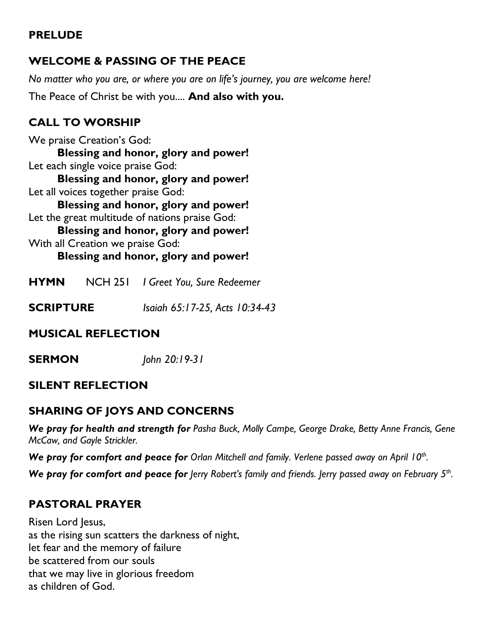## **PRELUDE**

# **WELCOME & PASSING OF THE PEACE**

*No matter who you are, or where you are on life's journey, you are welcome here!*

The Peace of Christ be with you.... **And also with you.**

# **CALL TO WORSHIP**

We praise Creation's God: **Blessing and honor, glory and power!** Let each single voice praise God:

**Blessing and honor, glory and power!** Let all voices together praise God:

**Blessing and honor, glory and power!** Let the great multitude of nations praise God:

**Blessing and honor, glory and power!**

With all Creation we praise God:

### **Blessing and honor, glory and power!**

- **HYMN** NCH 251 *I Greet You, Sure Redeemer*
- **SCRIPTURE** *Isaiah 65:17-25, Acts 10:34-43*

# **MUSICAL REFLECTION**

**SERMON** *John 20:19-31*

## **SILENT REFLECTION**

# **SHARING OF JOYS AND CONCERNS**

*We pray for health and strength for Pasha Buck, Molly Campe, George Drake, Betty Anne Francis, Gene McCaw, and Gayle Strickler.*

*We pray for comfort and peace for Orlan Mitchell and family. Verlene passed away on April 10th .*

*We pray for comfort and peace for lerry Robert's family and friends. Jerry passed away on February 5<sup>th</sup>. .*

# **PASTORAL PRAYER**

Risen Lord Jesus, as the rising sun scatters the darkness of night, let fear and the memory of failure be scattered from our souls that we may live in glorious freedom as children of God.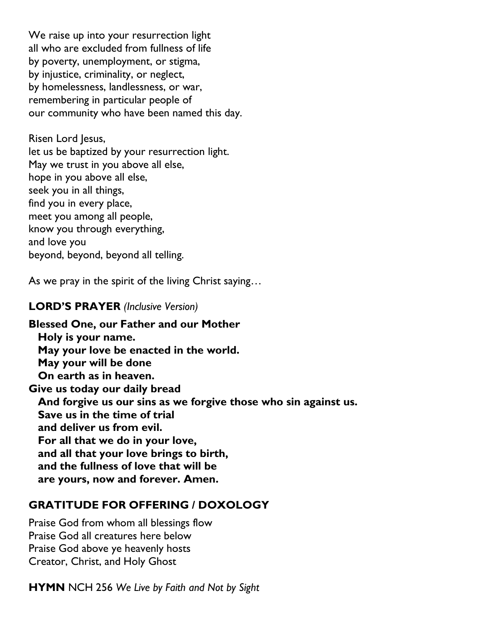We raise up into your resurrection light all who are excluded from fullness of life by poverty, unemployment, or stigma, by injustice, criminality, or neglect, by homelessness, landlessness, or war, remembering in particular people of our community who have been named this day.

Risen Lord Jesus, let us be baptized by your resurrection light. May we trust in you above all else, hope in you above all else, seek you in all things, find you in every place, meet you among all people, know you through everything, and love you beyond, beyond, beyond all telling.

As we pray in the spirit of the living Christ saying…

### **LORD'S PRAYER** *(Inclusive Version)*

**Blessed One, our Father and our Mother Holy is your name. May your love be enacted in the world. May your will be done On earth as in heaven. Give us today our daily bread And forgive us our sins as we forgive those who sin against us. Save us in the time of trial and deliver us from evil. For all that we do in your love, and all that your love brings to birth, and the fullness of love that will be are yours, now and forever. Amen.**

### **GRATITUDE FOR OFFERING / DOXOLOGY**

Praise God from whom all blessings flow Praise God all creatures here below Praise God above ye heavenly hosts Creator, Christ, and Holy Ghost

**HYMN** NCH 256 *We Live by Faith and Not by Sight*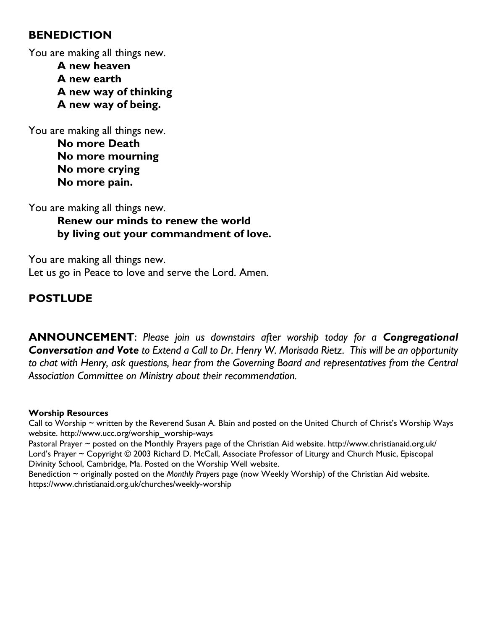#### **BENEDICTION**

You are making all things new.

**A new heaven A new earth A new way of thinking A new way of being.**

You are making all things new. **No more Death No more mourning No more crying No more pain.**

You are making all things new.

**Renew our minds to renew the world by living out your commandment of love.**

You are making all things new. Let us go in Peace to love and serve the Lord. Amen.

## **POSTLUDE**

**ANNOUNCEMENT**: *Please join us downstairs after worship today for a Congregational Conversation and Vote to Extend a Call to Dr. Henry W. Morisada Rietz. This will be an opportunity to chat with Henry, ask questions, hear from the Governing Board and representatives from the Central Association Committee on Ministry about their recommendation.*

#### **Worship Resources**

Call to Worship ~ written by the Reverend Susan A. Blain and posted on the United Church of Christ's Worship Ways website. [http://www.ucc.org/worship\\_worship-ways](http://www.ucc.org/worship_worship-ways) Pastoral Prayer ~ posted on the Monthly Prayers page of the Christian Aid website. http://www.christianaid.org.uk/ Lord's Prayer ~ Copyright © 2003 Richard D. McCall, Associate Professor of Liturgy and Church Music, Episcopal Divinity School, Cambridge, Ma. Posted on the [Worship Well](http://www.theworshipwell.org/pdf/WOR_McCall3.pdf) website.

Benediction ~ originally posted on the *Monthly Prayers* page (now Weekly Worship) of the Christian Aid website. <https://www.christianaid.org.uk/churches/weekly-worship>